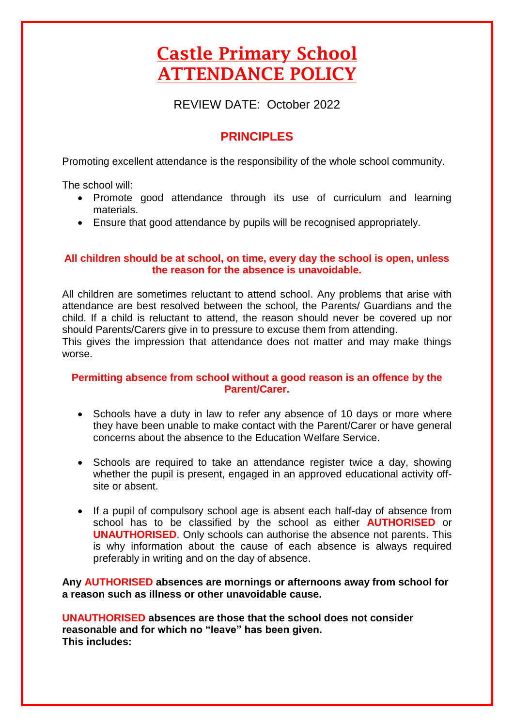# Castle Primary School ATTENDANCE POLICY

REVIEW DATE: October 2022

# **PRINCIPLES**

Promoting excellent attendance is the responsibility of the whole school community.

The school will:

- Promote good attendance through its use of curriculum and learning materials.
- Ensure that good attendance by pupils will be recognised appropriately.

## **All children should be at school, on time, every day the school is open, unless the reason for the absence is unavoidable.**

All children are sometimes reluctant to attend school. Any problems that arise with attendance are best resolved between the school, the Parents/ Guardians and the child. If a child is reluctant to attend, the reason should never be covered up nor should Parents/Carers give in to pressure to excuse them from attending. This gives the impression that attendance does not matter and may make things worse.

# **Permitting absence from school without a good reason is an offence by the Parent/Carer.**

- Schools have a duty in law to refer any absence of 10 days or more where they have been unable to make contact with the Parent/Carer or have general concerns about the absence to the Education Welfare Service.
- Schools are required to take an attendance register twice a day, showing whether the pupil is present, engaged in an approved educational activity offsite or absent.
- If a pupil of compulsory school age is absent each half-day of absence from school has to be classified by the school as either **AUTHORISED** or **UNAUTHORISED**. Only schools can authorise the absence not parents. This is why information about the cause of each absence is always required preferably in writing and on the day of absence.

**Any AUTHORISED absences are mornings or afternoons away from school for a reason such as illness or other unavoidable cause.**

**UNAUTHORISED absences are those that the school does not consider reasonable and for which no "leave" has been given. This includes:**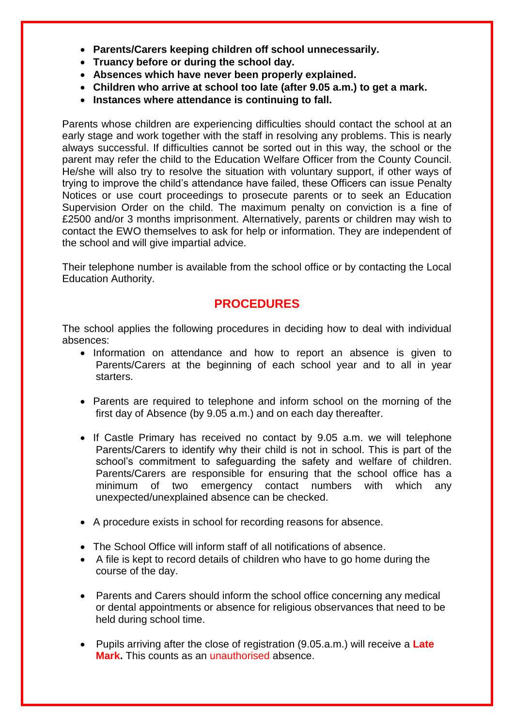- **Parents/Carers keeping children off school unnecessarily.**
- **Truancy before or during the school day.**
- **Absences which have never been properly explained.**
- **Children who arrive at school too late (after 9.05 a.m.) to get a mark.**
- **Instances where attendance is continuing to fall.**

Parents whose children are experiencing difficulties should contact the school at an early stage and work together with the staff in resolving any problems. This is nearly always successful. If difficulties cannot be sorted out in this way, the school or the parent may refer the child to the Education Welfare Officer from the County Council. He/she will also try to resolve the situation with voluntary support, if other ways of trying to improve the child's attendance have failed, these Officers can issue Penalty Notices or use court proceedings to prosecute parents or to seek an Education Supervision Order on the child. The maximum penalty on conviction is a fine of £2500 and/or 3 months imprisonment. Alternatively, parents or children may wish to contact the EWO themselves to ask for help or information. They are independent of the school and will give impartial advice.

Their telephone number is available from the school office or by contacting the Local Education Authority.

# **PROCEDURES**

The school applies the following procedures in deciding how to deal with individual absences:

- Information on attendance and how to report an absence is given to Parents/Carers at the beginning of each school year and to all in year starters.
- Parents are required to telephone and inform school on the morning of the first day of Absence (by 9.05 a.m.) and on each day thereafter.
- If Castle Primary has received no contact by 9.05 a.m. we will telephone Parents/Carers to identify why their child is not in school. This is part of the school's commitment to safeguarding the safety and welfare of children. Parents/Carers are responsible for ensuring that the school office has a minimum of two emergency contact numbers with which any unexpected/unexplained absence can be checked.
- A procedure exists in school for recording reasons for absence.
- The School Office will inform staff of all notifications of absence.
- A file is kept to record details of children who have to go home during the course of the day.
- Parents and Carers should inform the school office concerning any medical or dental appointments or absence for religious observances that need to be held during school time.
- Pupils arriving after the close of registration (9.05.a.m.) will receive a **Late Mark.** This counts as an unauthorised absence.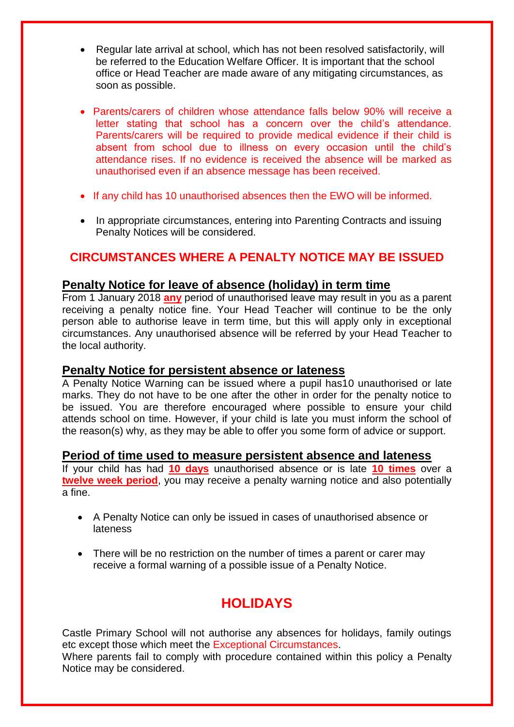- Regular late arrival at school, which has not been resolved satisfactorily, will be referred to the Education Welfare Officer. It is important that the school office or Head Teacher are made aware of any mitigating circumstances, as soon as possible.
- Parents/carers of children whose attendance falls below 90% will receive a letter stating that school has a concern over the child's attendance. Parents/carers will be required to provide medical evidence if their child is absent from school due to illness on every occasion until the child's attendance rises. If no evidence is received the absence will be marked as unauthorised even if an absence message has been received.
- If any child has 10 unauthorised absences then the EWO will be informed.
- In appropriate circumstances, entering into Parenting Contracts and issuing Penalty Notices will be considered.

# **CIRCUMSTANCES WHERE A PENALTY NOTICE MAY BE ISSUED**

# **Penalty Notice for leave of absence (holiday) in term time**

From 1 January 2018 **any** period of unauthorised leave may result in you as a parent receiving a penalty notice fine. Your Head Teacher will continue to be the only person able to authorise leave in term time, but this will apply only in exceptional circumstances. Any unauthorised absence will be referred by your Head Teacher to the local authority.

# **Penalty Notice for persistent absence or lateness**

A Penalty Notice Warning can be issued where a pupil has10 unauthorised or late marks. They do not have to be one after the other in order for the penalty notice to be issued. You are therefore encouraged where possible to ensure your child attends school on time. However, if your child is late you must inform the school of the reason(s) why, as they may be able to offer you some form of advice or support.

## **Period of time used to measure persistent absence and lateness**

If your child has had **10 days** unauthorised absence or is late **10 times** over a **twelve week period**, you may receive a penalty warning notice and also potentially a fine.

- A Penalty Notice can only be issued in cases of unauthorised absence or lateness
- There will be no restriction on the number of times a parent or carer may receive a formal warning of a possible issue of a Penalty Notice.

# **HOLIDAYS**

Castle Primary School will not authorise any absences for holidays, family outings etc except those which meet the Exceptional Circumstances.

Where parents fail to comply with procedure contained within this policy a Penalty Notice may be considered.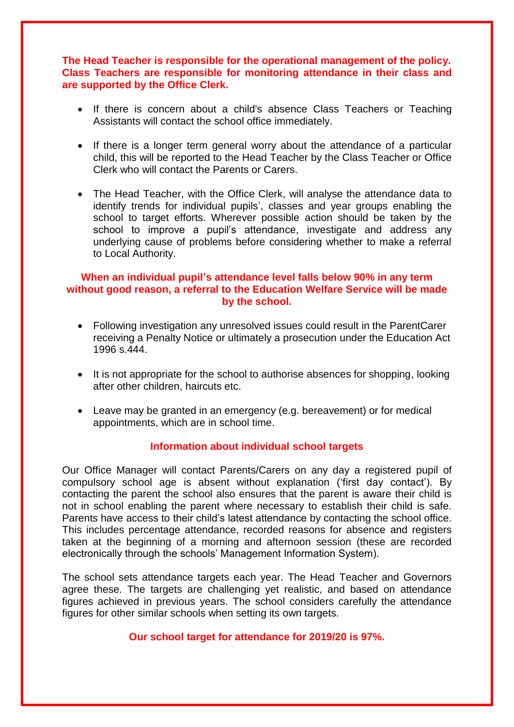#### **The Head Teacher is responsible for the operational management of the policy. Class Teachers are responsible for monitoring attendance in their class and are supported by the Office Clerk.**

- If there is concern about a child's absence Class Teachers or Teaching Assistants will contact the school office immediately.
- If there is a longer term general worry about the attendance of a particular child, this will be reported to the Head Teacher by the Class Teacher or Office Clerk who will contact the Parents or Carers.
- The Head Teacher, with the Office Clerk, will analyse the attendance data to identify trends for individual pupils', classes and year groups enabling the school to target efforts. Wherever possible action should be taken by the school to improve a pupil's attendance, investigate and address any underlying cause of problems before considering whether to make a referral to Local Authority.

#### **When an individual pupil's attendance level falls below 90% in any term without good reason, a referral to the Education Welfare Service will be made by the school.**

- Following investigation any unresolved issues could result in the ParentCarer receiving a Penalty Notice or ultimately a prosecution under the Education Act 1996 s.444.
- It is not appropriate for the school to authorise absences for shopping, looking after other children, haircuts etc.
- Leave may be granted in an emergency (e.g. bereavement) or for medical appointments, which are in school time.

#### **Information about individual school targets**

Our Office Manager will contact Parents/Carers on any day a registered pupil of compulsory school age is absent without explanation ('first day contact'). By contacting the parent the school also ensures that the parent is aware their child is not in school enabling the parent where necessary to establish their child is safe. Parents have access to their child's latest attendance by contacting the school office. This includes percentage attendance, recorded reasons for absence and registers taken at the beginning of a morning and afternoon session (these are recorded electronically through the schools' Management Information System).

The school sets attendance targets each year. The Head Teacher and Governors agree these. The targets are challenging yet realistic, and based on attendance figures achieved in previous years. The school considers carefully the attendance figures for other similar schools when setting its own targets.

#### **Our school target for attendance for 2019/20 is 97%.**